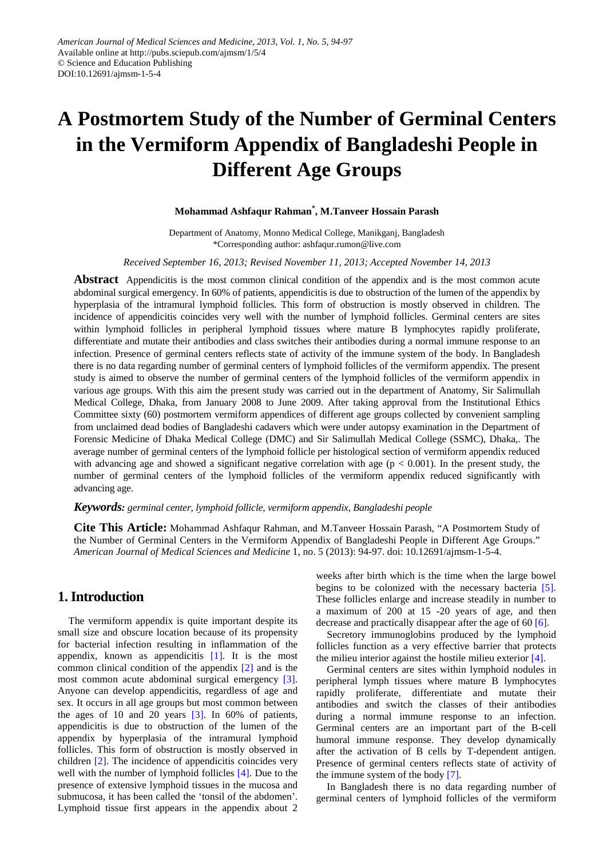# **A Postmortem Study of the Number of Germinal Centers in the Vermiform Appendix of Bangladeshi People in Different Age Groups**

#### **Mohammad Ashfaqur Rahman\* , M.Tanveer Hossain Parash**

Department of Anatomy, Monno Medical College, Manikganj, Bangladesh \*Corresponding author: ashfaqur.rumon@live.com

*Received September 16, 2013; Revised November 11, 2013; Accepted November 14, 2013*

**Abstract** Appendicitis is the most common clinical condition of the appendix and is the most common acute abdominal surgical emergency. In 60% of patients, appendicitis is due to obstruction of the lumen of the appendix by hyperplasia of the intramural lymphoid follicles. This form of obstruction is mostly observed in children. The incidence of appendicitis coincides very well with the number of lymphoid follicles. Germinal centers are sites within lymphoid follicles in peripheral lymphoid tissues where mature B lymphocytes rapidly proliferate, differentiate and mutate their antibodies and class switches their antibodies during a normal immune response to an infection. Presence of germinal centers reflects state of activity of the immune system of the body. In Bangladesh there is no data regarding number of germinal centers of lymphoid follicles of the vermiform appendix. The present study is aimed to observe the number of germinal centers of the lymphoid follicles of the vermiform appendix in various age groups. With this aim the present study was carried out in the department of Anatomy, Sir Salimullah Medical College, Dhaka, from January 2008 to June 2009. After taking approval from the Institutional Ethics Committee sixty (60) postmortem vermiform appendices of different age groups collected by convenient sampling from unclaimed dead bodies of Bangladeshi cadavers which were under autopsy examination in the Department of Forensic Medicine of Dhaka Medical College (DMC) and Sir Salimullah Medical College (SSMC), Dhaka,. The average number of germinal centers of the lymphoid follicle per histological section of vermiform appendix reduced with advancing age and showed a significant negative correlation with age ( $p < 0.001$ ). In the present study, the number of germinal centers of the lymphoid follicles of the vermiform appendix reduced significantly with advancing age.

#### *Keywords: germinal center, lymphoid follicle, vermiform appendix, Bangladeshi people*

**Cite This Article:** Mohammad Ashfaqur Rahman, and M.Tanveer Hossain Parash, "A Postmortem Study of the Number of Germinal Centers in the Vermiform Appendix of Bangladeshi People in Different Age Groups." *American Journal of Medical Sciences and Medicine* 1, no. 5 (2013): 94-97. doi: 10.12691/ajmsm-1-5-4.

# **1. Introduction**

The vermiform appendix is quite important despite its small size and obscure location because of its propensity for bacterial infection resulting in inflammation of the appendix, known as appendicitis  $[1]$ . It is the most common clinical condition of the appendix [\[2\]](#page-2-1) and is the most common acute abdominal surgical emergency [\[3\].](#page-3-0) Anyone can develop appendicitis, regardless of age and sex. It occurs in all age groups but most common between the ages of 10 and 20 years  $\lceil 3 \rceil$ . In 60% of patients, appendicitis is due to obstruction of the lumen of the appendix by hyperplasia of the intramural lymphoid follicles. This form of obstruction is mostly observed in children [\[2\].](#page-2-1) The incidence of appendicitis coincides very well with the number of lymphoid follicles [\[4\].](#page-3-1) Due to the presence of extensive lymphoid tissues in the mucosa and submucosa, it has been called the 'tonsil of the abdomen'. Lymphoid tissue first appears in the appendix about 2

weeks after birth which is the time when the large bowel begins to be colonized with the necessary bacteria [\[5\].](#page-3-2) These follicles enlarge and increase steadily in number to a maximum of 200 at 15 -20 years of age, and then decrease and practically disappear after the age of 60 [\[6\].](#page-3-3)

Secretory immunoglobins produced by the lymphoid follicles function as a very effective barrier that protects the milieu interior against the hostile milieu exterior [\[4\].](#page-3-1)

Germinal centers are sites within lymphoid nodules in peripheral lymph tissues where mature B lymphocytes rapidly proliferate, differentiate and mutate their antibodies and switch the classes of their antibodies during a normal immune response to an infection. Germinal centers are an important part of the B-cell humoral immune response. They develop dynamically after the activation of B cells by T-dependent antigen. Presence of germinal centers reflects state of activity of the immune system of the body [\[7\].](#page-3-4)

In Bangladesh there is no data regarding number of germinal centers of lymphoid follicles of the vermiform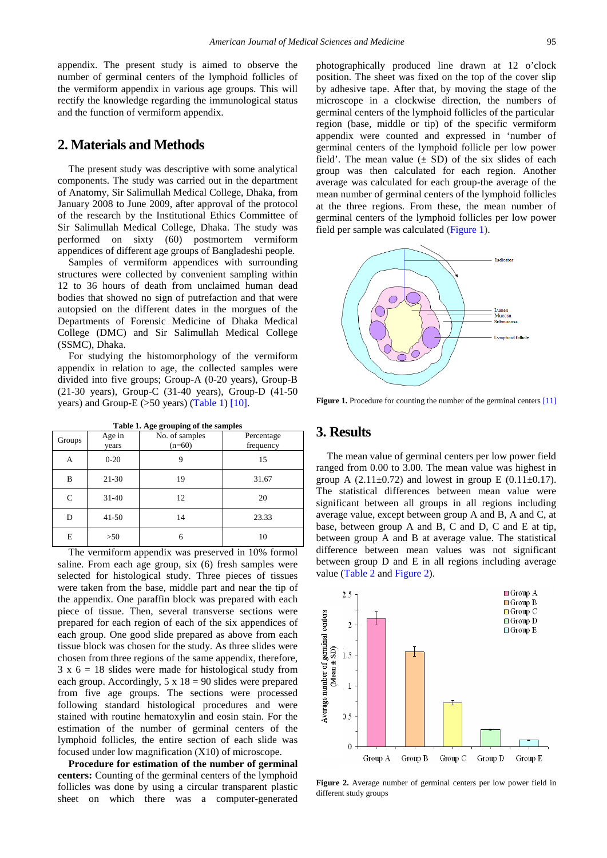appendix. The present study is aimed to observe the number of germinal centers of the lymphoid follicles of the vermiform appendix in various age groups. This will rectify the knowledge regarding the immunological status and the function of vermiform appendix.

## **2. Materials and Methods**

The present study was descriptive with some analytical components. The study was carried out in the department of Anatomy, Sir Salimullah Medical College, Dhaka, from January 2008 to June 2009, after approval of the protocol of the research by the Institutional Ethics Committee of Sir Salimullah Medical College, Dhaka. The study was performed on sixty (60) postmortem vermiform appendices of different age groups of Bangladeshi people.

Samples of vermiform appendices with surrounding structures were collected by convenient sampling within 12 to 36 hours of death from unclaimed human dead bodies that showed no sign of putrefaction and that were autopsied on the different dates in the morgues of the Departments of Forensic Medicine of Dhaka Medical College (DMC) and Sir Salimullah Medical College (SSMC), Dhaka.

For studying the histomorphology of the vermiform appendix in relation to age, the collected samples were divided into five groups; Group-A (0-20 years), Group-B (21-30 years), Group-C (31-40 years), Group-D (41-50 years) and Group-E (>50 years) [\(Table 1\)](#page-1-0) [\[10\].](#page-3-5)

<span id="page-1-0"></span>

| Groups | Age in<br>years | No. of samples<br>$(n=60)$ | Percentage<br>frequency |
|--------|-----------------|----------------------------|-------------------------|
| А      | $0 - 20$        | 9                          | 15                      |
| B      | $21-30$         | 19                         | 31.67                   |
| C      | $31 - 40$       | 12                         | 20                      |
| D      | $41 - 50$       | 14                         | 23.33                   |
| E      | $>50$           | 6                          | 10                      |

**Table 1. Age grouping of the samples** 

The vermiform appendix was preserved in 10% formol saline. From each age group, six (6) fresh samples were selected for histological study. Three pieces of tissues were taken from the base, middle part and near the tip of the appendix. One paraffin block was prepared with each piece of tissue. Then, several transverse sections were prepared for each region of each of the six appendices of each group. One good slide prepared as above from each tissue block was chosen for the study. As three slides were chosen from three regions of the same appendix, therefore,  $3 \times 6 = 18$  slides were made for histological study from each group. Accordingly,  $5 \times 18 = 90$  slides were prepared from five age groups. The sections were processed following standard histological procedures and were stained with routine hematoxylin and eosin stain. For the estimation of the number of germinal centers of the lymphoid follicles, the entire section of each slide was focused under low magnification (X10) of microscope.

**Procedure for estimation of the number of germinal centers:** Counting of the germinal centers of the lymphoid follicles was done by using a circular transparent plastic sheet on which there was a computer-generated photographically produced line drawn at 12 o'clock position. The sheet was fixed on the top of the cover slip by adhesive tape. After that, by moving the stage of the microscope in a clockwise direction, the numbers of germinal centers of the lymphoid follicles of the particular region (base, middle or tip) of the specific vermiform appendix were counted and expressed in 'number of germinal centers of the lymphoid follicle per low power field'. The mean value  $(\pm SD)$  of the six slides of each group was then calculated for each region. Another average was calculated for each group-the average of the mean number of germinal centers of the lymphoid follicles at the three regions. From these, the mean number of germinal centers of the lymphoid follicles per low power field per sample was calculated [\(Figure 1\)](#page-1-1).

<span id="page-1-1"></span>

**Figure 1.** Procedure for counting the number of the germinal center[s \[11\]](#page-3-6)

### **3. Results**

The mean value of germinal centers per low power field ranged from 0.00 to 3.00. The mean value was highest in group A  $(2.11 \pm 0.72)$  and lowest in group E  $(0.11 \pm 0.17)$ . The statistical differences between mean value were significant between all groups in all regions including average value, except between group A and B, A and C, at base, between group A and B, C and D, C and E at tip, between group A and B at average value. The statistical difference between mean values was not significant between group D and E in all regions including average value [\(Table 2](#page-2-2) and [Figure 2\)](#page-1-2).

<span id="page-1-2"></span>

**Figure 2.** Average number of germinal centers per low power field in different study groups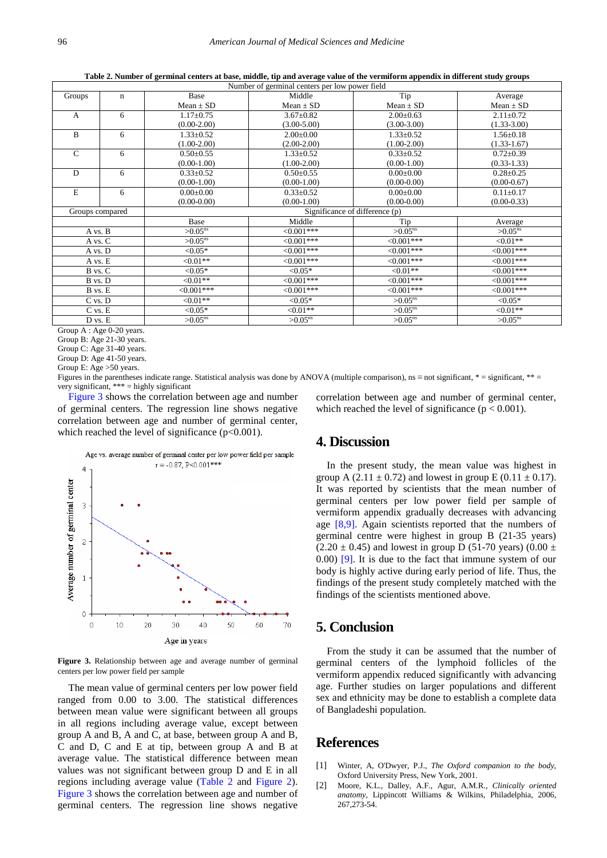**Table 2. Number of germinal centers at base, middle, tip and average value of the vermiform appendix in different study groups**

<span id="page-2-2"></span>

| Number of germinal centers per low power field |             |                                |                       |                       |                       |  |
|------------------------------------------------|-------------|--------------------------------|-----------------------|-----------------------|-----------------------|--|
| Groups                                         | $\mathbf n$ | Base                           | Middle                | Tip                   | Average               |  |
|                                                |             | $Mean \pm SD$                  | $Mean \pm SD$         | $Mean \pm SD$         | Mean $\pm$ SD         |  |
| $\overline{A}$                                 | 6           | $1.17 \pm 0.75$                | $3.67 \pm 0.82$       | $2.00 \pm 0.63$       | $2.11 \pm 0.72$       |  |
|                                                |             | $(0.00-2.00)$                  | $(3.00 - 5.00)$       | $(3.00-3.00)$         | $(1.33 - 3.00)$       |  |
| B                                              | 6           | $1.33 \pm 0.52$                | $2.00 \pm 0.00$       | $1.33 \pm 0.52$       | $1.56 \pm 0.18$       |  |
|                                                |             | $(1.00-2.00)$                  | $(2.00-2.00)$         | $(1.00-2.00)$         | $(1.33 - 1.67)$       |  |
| $\mathsf{C}$                                   | 6           | $0.50 \pm 0.55$                | $1.33 \pm 0.52$       | $0.33 \pm 0.52$       | $0.72 \pm 0.39$       |  |
|                                                |             | $(0.00-1.00)$                  | $(1.00-2.00)$         | $(0.00-1.00)$         | $(0.33 - 1.33)$       |  |
| D                                              | 6           | $0.33 \pm 0.52$                | $0.50 \pm 0.55$       | $0.00 \pm 0.00$       | $0.28 \pm 0.25$       |  |
|                                                |             | $(0.00-1.00)$                  | $(0.00-1.00)$         | $(0.00-0.00)$         | $(0.00 - 0.67)$       |  |
| E                                              | 6           | $0.00 \pm 0.00$                | $0.33 \pm 0.52$       | $0.00 \pm 0.00$       | $0.11 \pm 0.17$       |  |
|                                                |             | $(0.00-0.00)$                  | $(0.00-1.00)$         | $(0.00-0.00)$         | $(0.00-0.33)$         |  |
| Groups compared                                |             | Significance of difference (p) |                       |                       |                       |  |
|                                                |             | Base                           | Middle                | Tip                   | Average               |  |
| A vs. B                                        |             | $>0.05$ <sup>ns</sup>          | $< 0.001$ ***         | $>0.05^{\text{ns}}$   | $>0.05$ <sup>ns</sup> |  |
| A vs. C                                        |             | $>0.05$ <sup>ns</sup>          | $<0.001***$           | $<0.001***$           | $<0.01**$             |  |
| A vs. D                                        |             | $< 0.05*$                      | $< 0.001$ ***         | $<0.001***$           | $<0.001***$           |  |
| A vs. E                                        |             | ${<}0.01**$                    | $<0.001***$           | $<0.001***$           | $<0.001***$           |  |
| B vs. C                                        |             | $< 0.05*$                      | $< 0.05*$             | $\leq 0.01**$         | $<0.001***$           |  |
| B vs. D                                        |             | $<0.01**$                      | $<0.001***$           | $<0.001***$           | $<0.001***$           |  |
| B vs. E                                        |             | $<0.001***$                    | $<0.001***$           | $<0.001***$           | $<0.001***$           |  |
| C vs. D                                        |             | $<0.01**$                      | $< 0.05*$             | $>0.05$ <sup>ns</sup> | $< 0.05*$             |  |
| $C$ vs. $E$                                    |             | $< 0.05*$                      | ${<}0.01**$           | $>0.05^{\text{ns}}$   | ${<}0.01**$           |  |
| D vs. E                                        |             | $>0.05$ <sup>ns</sup>          | $>0.05$ <sup>ns</sup> | $>0.05$ <sup>ns</sup> | $>0.05$ <sup>ns</sup> |  |

Group A : Age 0-20 years.

Group B: Age 21-30 years.

Group C: Age 31-40 years.

Group D: Age 41-50 years.

Group E: Age >50 years.

Figures in the parentheses indicate range. Statistical analysis was done by ANOVA (multiple comparison), ns ≡ not significant, \* = significant, \*\* = very significant, \*\*\* = highly significant

[Figure 3](#page-2-3) shows the correlation between age and number of germinal centers. The regression line shows negative correlation between age and number of germinal center, which reached the level of significance  $(p<0.001)$ .

<span id="page-2-3"></span>

**Figure 3.** Relationship between age and average number of germinal centers per low power field per sample

The mean value of germinal centers per low power field ranged from 0.00 to 3.00. The statistical differences between mean value were significant between all groups in all regions including average value, except between group A and B, A and C, at base, between group A and B, C and D, C and E at tip, between group A and B at average value. The statistical difference between mean values was not significant between group D and E in all regions including average value [\(Table 2](#page-2-2) and [Figure 2\)](#page-1-2). [Figure 3](#page-2-3) shows the correlation between age and number of germinal centers. The regression line shows negative

correlation between age and number of germinal center, which reached the level of significance ( $p < 0.001$ ).

## **4. Discussion**

In the present study, the mean value was highest in group A (2.11  $\pm$  0.72) and lowest in group E (0.11  $\pm$  0.17). It was reported by scientists that the mean number of germinal centers per low power field per sample of vermiform appendix gradually decreases with advancing age  $[8,9]$ . Again scientists reported that the numbers of germinal centre were highest in group B (21-35 years)  $(2.20 \pm 0.45)$  and lowest in group D (51-70 years) (0.00  $\pm$ 0.00) [\[9\].](#page-3-8) It is due to the fact that immune system of our body is highly active during early period of life. Thus, the findings of the present study completely matched with the findings of the scientists mentioned above.

## **5. Conclusion**

From the study it can be assumed that the number of germinal centers of the lymphoid follicles of the vermiform appendix reduced significantly with advancing age. Further studies on larger populations and different sex and ethnicity may be done to establish a complete data of Bangladeshi population.

## **References**

- <span id="page-2-0"></span>[1] Winter, A, O'Dwyer, P.J., *The Oxford companion to the body*, Oxford University Press, New York, 2001.
- <span id="page-2-1"></span>[2] Moore, K.L., Dalley, A.F., Agur, A.M.R., *Clinically oriented anatomy,* Lippincott Williams & Wilkins, Philadelphia, 2006, 267,273-54.